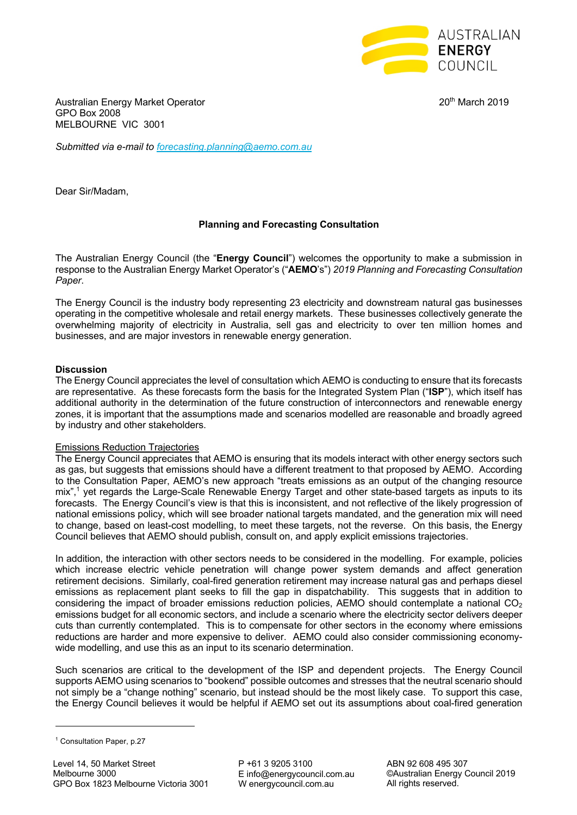

Australian Energy Market Operator 2019 **20th March 2019** 20th March 2019 GPO Box 2008 MELBOURNE VIC 3001

*Submitted via e-mail to forecasting.planning@aemo.com.au*

Dear Sir/Madam,

# **Planning and Forecasting Consultation**

The Australian Energy Council (the "**Energy Council**") welcomes the opportunity to make a submission in response to the Australian Energy Market Operator's ("**AEMO**'s") *2019 Planning and Forecasting Consultation Paper*.

The Energy Council is the industry body representing 23 electricity and downstream natural gas businesses operating in the competitive wholesale and retail energy markets. These businesses collectively generate the overwhelming majority of electricity in Australia, sell gas and electricity to over ten million homes and businesses, and are major investors in renewable energy generation.

### **Discussion**

The Energy Council appreciates the level of consultation which AEMO is conducting to ensure that its forecasts are representative. As these forecasts form the basis for the Integrated System Plan ("**ISP**"), which itself has additional authority in the determination of the future construction of interconnectors and renewable energy zones, it is important that the assumptions made and scenarios modelled are reasonable and broadly agreed by industry and other stakeholders.

# Emissions Reduction Trajectories

The Energy Council appreciates that AEMO is ensuring that its models interact with other energy sectors such as gas, but suggests that emissions should have a different treatment to that proposed by AEMO. According to the Consultation Paper, AEMO's new approach "treats emissions as an output of the changing resource mix",<sup>1</sup> yet regards the Large-Scale Renewable Energy Target and other state-based targets as inputs to its forecasts. The Energy Council's view is that this is inconsistent, and not reflective of the likely progression of national emissions policy, which will see broader national targets mandated, and the generation mix will need to change, based on least-cost modelling, to meet these targets, not the reverse. On this basis, the Energy Council believes that AEMO should publish, consult on, and apply explicit emissions trajectories.

In addition, the interaction with other sectors needs to be considered in the modelling. For example, policies which increase electric vehicle penetration will change power system demands and affect generation retirement decisions. Similarly, coal-fired generation retirement may increase natural gas and perhaps diesel emissions as replacement plant seeks to fill the gap in dispatchability. This suggests that in addition to considering the impact of broader emissions reduction policies, AEMO should contemplate a national  $CO<sub>2</sub>$ emissions budget for all economic sectors, and include a scenario where the electricity sector delivers deeper cuts than currently contemplated. This is to compensate for other sectors in the economy where emissions reductions are harder and more expensive to deliver. AEMO could also consider commissioning economywide modelling, and use this as an input to its scenario determination.

Such scenarios are critical to the development of the ISP and dependent projects. The Energy Council supports AEMO using scenarios to "bookend" possible outcomes and stresses that the neutral scenario should not simply be a "change nothing" scenario, but instead should be the most likely case. To support this case, the Energy Council believes it would be helpful if AEMO set out its assumptions about coal-fired generation

 $\overline{a}$ 

P +61 3 9205 3100 E info@energycouncil.com.au W energycouncil.com.au

ABN 92 608 495 307 ©Australian Energy Council 2019 All rights reserved.

<sup>1</sup> Consultation Paper, p.27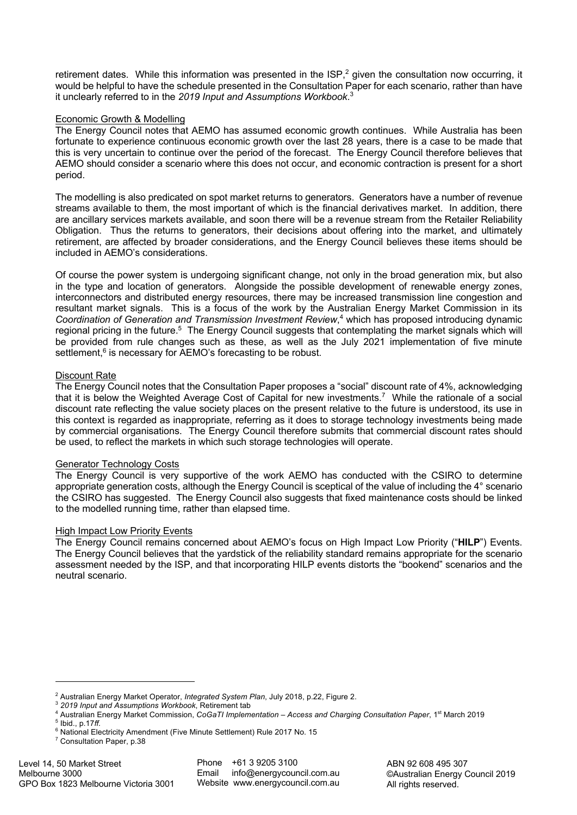retirement dates. While this information was presented in the ISP,<sup>2</sup> given the consultation now occurring, it would be helpful to have the schedule presented in the Consultation Paper for each scenario, rather than have it unclearly referred to in the *2019 Input and Assumptions Workbook*. 3

## Economic Growth & Modelling

The Energy Council notes that AEMO has assumed economic growth continues. While Australia has been fortunate to experience continuous economic growth over the last 28 years, there is a case to be made that this is very uncertain to continue over the period of the forecast. The Energy Council therefore believes that AEMO should consider a scenario where this does not occur, and economic contraction is present for a short period.

The modelling is also predicated on spot market returns to generators. Generators have a number of revenue streams available to them, the most important of which is the financial derivatives market. In addition, there are ancillary services markets available, and soon there will be a revenue stream from the Retailer Reliability Obligation. Thus the returns to generators, their decisions about offering into the market, and ultimately retirement, are affected by broader considerations, and the Energy Council believes these items should be included in AEMO's considerations.

Of course the power system is undergoing significant change, not only in the broad generation mix, but also in the type and location of generators. Alongside the possible development of renewable energy zones, interconnectors and distributed energy resources, there may be increased transmission line congestion and resultant market signals. This is a focus of the work by the Australian Energy Market Commission in its *Coordination of Generation and Transmission Investment Review*, <sup>4</sup> which has proposed introducing dynamic regional pricing in the future.<sup>5</sup> The Energy Council suggests that contemplating the market signals which will be provided from rule changes such as these, as well as the July 2021 implementation of five minute settlement,<sup>6</sup> is necessary for AEMO's forecasting to be robust.

### **Discount Rate**

The Energy Council notes that the Consultation Paper proposes a "social" discount rate of 4%, acknowledging that it is below the Weighted Average Cost of Capital for new investments.<sup>7</sup> While the rationale of a social discount rate reflecting the value society places on the present relative to the future is understood, its use in this context is regarded as inappropriate, referring as it does to storage technology investments being made by commercial organisations. The Energy Council therefore submits that commercial discount rates should be used, to reflect the markets in which such storage technologies will operate.

#### Generator Technology Costs

The Energy Council is very supportive of the work AEMO has conducted with the CSIRO to determine appropriate generation costs, although the Energy Council is sceptical of the value of including the 4° scenario the CSIRO has suggested. The Energy Council also suggests that fixed maintenance costs should be linked to the modelled running time, rather than elapsed time.

#### High Impact Low Priority Events

The Energy Council remains concerned about AEMO's focus on High Impact Low Priority ("**HILP**") Events. The Energy Council believes that the yardstick of the reliability standard remains appropriate for the scenario assessment needed by the ISP, and that incorporating HILP events distorts the "bookend" scenarios and the neutral scenario.

 $\overline{a}$ 

<sup>2</sup> Australian Energy Market Operator, *Integrated System Plan*, July 2018, p.22, Figure 2.

<sup>3</sup> *2019 Input and Assumptions Workbook*, Retirement tab

<sup>4</sup> Australian Energy Market Commission, *CoGaTI Implementation – Access and Charging Consultation Paper*, 1st March 2019 <sup>5</sup> Ibid., p.17*ff.*

<sup>6</sup> National Electricity Amendment (Five Minute Settlement) Rule 2017 No. 15

<sup>7</sup> Consultation Paper, p.38